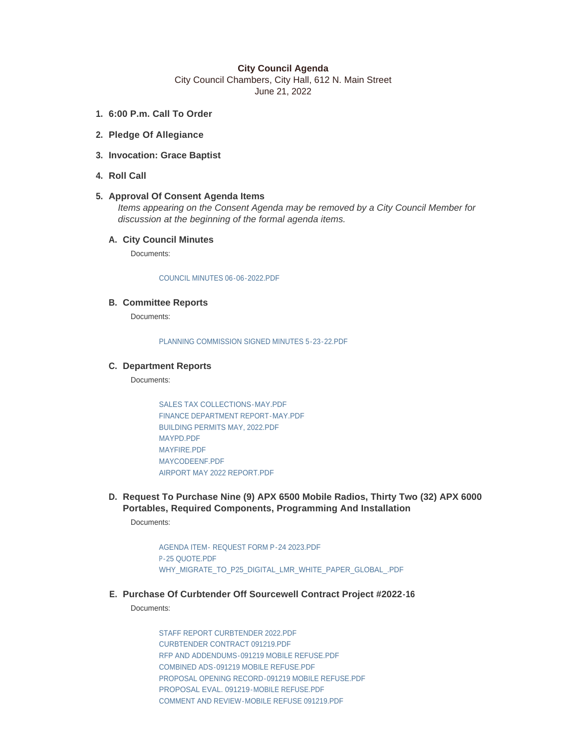### **City Council Agenda**

City Council Chambers, City Hall, 612 N. Main Street June 21, 2022

- **6:00 P.m. Call To Order 1.**
- **Pledge Of Allegiance 2.**
- **Invocation: Grace Baptist 3.**
- **Roll Call 4.**

## **Approval Of Consent Agenda Items 5.**

*Items appearing on the Consent Agenda may be removed by a City Council Member for discussion at the beginning of the formal agenda items.* 

## **City Council Minutes A.**

Documents:

#### [COUNCIL MINUTES 06-06-2022.PDF](https://www.cityofmitchell.org/AgendaCenter/ViewFile/Item/13930?fileID=19873)

### **Committee Reports B.**

Documents:

[PLANNING COMMISSION SIGNED MINUTES 5-23-22.PDF](https://www.cityofmitchell.org/AgendaCenter/ViewFile/Item/13931?fileID=19970)

### **Department Reports C.**

Documents:

[SALES TAX COLLECTIONS-MAY.PDF](https://www.cityofmitchell.org/AgendaCenter/ViewFile/Item/13853?fileID=19912) [FINANCE DEPARTMENT REPORT-MAY.PDF](https://www.cityofmitchell.org/AgendaCenter/ViewFile/Item/13853?fileID=19919) [BUILDING PERMITS MAY, 2022.PDF](https://www.cityofmitchell.org/AgendaCenter/ViewFile/Item/13853?fileID=19838) [MAYPD.PDF](https://www.cityofmitchell.org/AgendaCenter/ViewFile/Item/13853?fileID=19991) [MAYFIRE.PDF](https://www.cityofmitchell.org/AgendaCenter/ViewFile/Item/13853?fileID=19903) [MAYCODEENF.PDF](https://www.cityofmitchell.org/AgendaCenter/ViewFile/Item/13853?fileID=19914) [AIRPORT MAY 2022 REPORT.PDF](https://www.cityofmitchell.org/AgendaCenter/ViewFile/Item/13853?fileID=19837)

**Request To Purchase Nine (9) APX 6500 Mobile Radios, Thirty Two (32) APX 6000 D. Portables, Required Components, Programming And Installation**

Documents:

[AGENDA ITEM- REQUEST FORM P-24 2023.PDF](https://www.cityofmitchell.org/AgendaCenter/ViewFile/Item/13965?fileID=19902) [P-25 QUOTE.PDF](https://www.cityofmitchell.org/AgendaCenter/ViewFile/Item/13965?fileID=19900) [WHY\\_MIGRATE\\_TO\\_P25\\_DIGITAL\\_LMR\\_WHITE\\_PAPER\\_GLOBAL\\_.PDF](https://www.cityofmitchell.org/AgendaCenter/ViewFile/Item/13965?fileID=19901)

**Purchase Of Curbtender Off Sourcewell Contract Project #2022-16 E.**

Documents:

[STAFF REPORT CURBTENDER 2022.PDF](https://www.cityofmitchell.org/AgendaCenter/ViewFile/Item/13945?fileID=19974) [CURBTENDER CONTRACT 091219.PDF](https://www.cityofmitchell.org/AgendaCenter/ViewFile/Item/13945?fileID=19922) [RFP AND ADDENDUMS-091219 MOBILE REFUSE.PDF](https://www.cityofmitchell.org/AgendaCenter/ViewFile/Item/13945?fileID=19923) [COMBINED ADS-091219 MOBILE REFUSE.PDF](https://www.cityofmitchell.org/AgendaCenter/ViewFile/Item/13945?fileID=19924) [PROPOSAL OPENING RECORD-091219 MOBILE REFUSE.PDF](https://www.cityofmitchell.org/AgendaCenter/ViewFile/Item/13945?fileID=19925) [PROPOSAL EVAL. 091219-MOBILE REFUSE.PDF](https://www.cityofmitchell.org/AgendaCenter/ViewFile/Item/13945?fileID=19926) [COMMENT AND REVIEW-MOBILE REFUSE 091219.PDF](https://www.cityofmitchell.org/AgendaCenter/ViewFile/Item/13945?fileID=19927)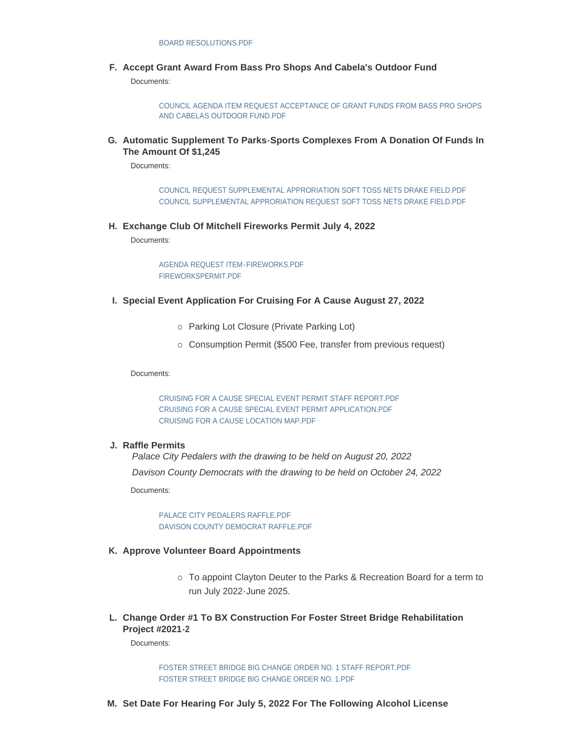**Accept Grant Award From Bass Pro Shops And Cabela's Outdoor Fund F.**

Documents:

[COUNCIL AGENDA ITEM REQUEST ACCEPTANCE OF GRANT FUNDS FROM BASS PRO SHOPS](https://www.cityofmitchell.org/AgendaCenter/ViewFile/Item/13981?fileID=19985)  AND CABELAS OUTDOOR FUND.PDF

**Automatic Supplement To Parks-Sports Complexes From A Donation Of Funds In G. The Amount Of \$1,245**

Documents:

[COUNCIL REQUEST SUPPLEMENTAL APPRORIATION SOFT TOSS NETS DRAKE FIELD.PDF](https://www.cityofmitchell.org/AgendaCenter/ViewFile/Item/13946?fileID=20001) [COUNCIL SUPPLEMENTAL APPRORIATION REQUEST SOFT TOSS NETS DRAKE FIELD.PDF](https://www.cityofmitchell.org/AgendaCenter/ViewFile/Item/13946?fileID=20002)

**Exchange Club Of Mitchell Fireworks Permit July 4, 2022 H.**

Documents:

[AGENDA REQUEST ITEM-FIREWORKS.PDF](https://www.cityofmitchell.org/AgendaCenter/ViewFile/Item/13983?fileID=19995) [FIREWORKSPERMIT.PDF](https://www.cityofmitchell.org/AgendaCenter/ViewFile/Item/13983?fileID=19990)

### **Special Event Application For Cruising For A Cause August 27, 2022 I.**

- o Parking Lot Closure (Private Parking Lot)
- o Consumption Permit (\$500 Fee, transfer from previous request)

Documents:

[CRUISING FOR A CAUSE SPECIAL EVENT PERMIT STAFF REPORT.PDF](https://www.cityofmitchell.org/AgendaCenter/ViewFile/Item/13961?fileID=19977) [CRUISING FOR A CAUSE SPECIAL EVENT PERMIT APPLICATION.PDF](https://www.cityofmitchell.org/AgendaCenter/ViewFile/Item/13961?fileID=19978) [CRUISING FOR A CAUSE LOCATION MAP.PDF](https://www.cityofmitchell.org/AgendaCenter/ViewFile/Item/13961?fileID=19979)

#### **Raffle Permits J.**

*Palace City Pedalers with the drawing to be held on August 20, 2022 Davison County Democrats with the drawing to be held on October 24, 2022*

Documents:

[PALACE CITY PEDALERS RAFFLE.PDF](https://www.cityofmitchell.org/AgendaCenter/ViewFile/Item/13881?fileID=19904) [DAVISON COUNTY DEMOCRAT RAFFLE.PDF](https://www.cityofmitchell.org/AgendaCenter/ViewFile/Item/13881?fileID=19827)

#### **Approve Volunteer Board Appointments K.**

- o To appoint Clayton Deuter to the Parks & Recreation Board for a term to run July 2022-June 2025.
- **Change Order #1 To BX Construction For Foster Street Bridge Rehabilitation L. Project #2021-2**

Documents:

[FOSTER STREET BRIDGE BIG CHANGE ORDER NO. 1 STAFF REPORT.PDF](https://www.cityofmitchell.org/AgendaCenter/ViewFile/Item/13964?fileID=19975) [FOSTER STREET BRIDGE BIG CHANGE ORDER NO. 1.PDF](https://www.cityofmitchell.org/AgendaCenter/ViewFile/Item/13964?fileID=19976)

**Set Date For Hearing For July 5, 2022 For The Following Alcohol License M.**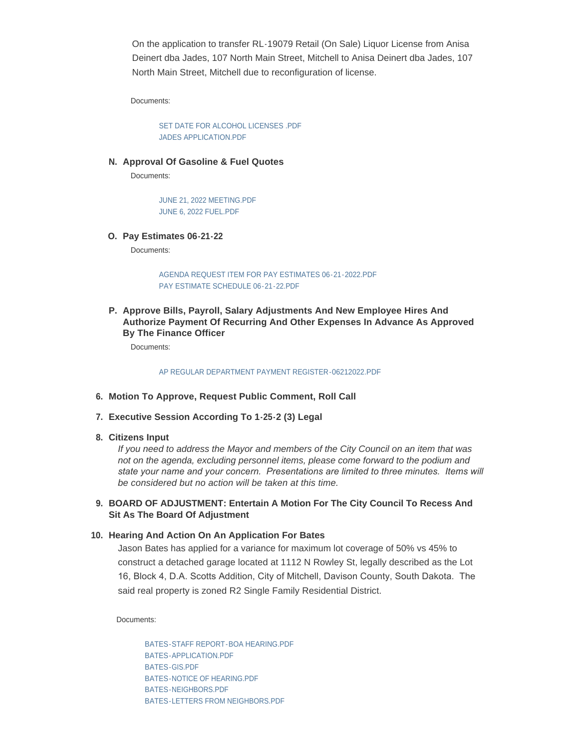On the application to transfer RL-19079 Retail (On Sale) Liquor License from Anisa Deinert dba Jades, 107 North Main Street, Mitchell to Anisa Deinert dba Jades, 107 North Main Street, Mitchell due to reconfiguration of license.

Documents:

[SET DATE FOR ALCOHOL LICENSES .PDF](https://www.cityofmitchell.org/AgendaCenter/ViewFile/Item/13966?fileID=19906) [JADES APPLICATION.PDF](https://www.cityofmitchell.org/AgendaCenter/ViewFile/Item/13966?fileID=19905)

**Approval Of Gasoline & Fuel Quotes N.**

Documents:

[JUNE 21, 2022 MEETING.PDF](https://www.cityofmitchell.org/AgendaCenter/ViewFile/Item/13947?fileID=19875) [JUNE 6, 2022 FUEL.PDF](https://www.cityofmitchell.org/AgendaCenter/ViewFile/Item/13947?fileID=19876)

**Pay Estimates 06-21-22 O.**

Documents:

[AGENDA REQUEST ITEM FOR PAY ESTIMATES 06-21-2022.PDF](https://www.cityofmitchell.org/AgendaCenter/ViewFile/Item/13893?fileID=19839) [PAY ESTIMATE SCHEDULE 06-21-22.PDF](https://www.cityofmitchell.org/AgendaCenter/ViewFile/Item/13893?fileID=19913)

**Approve Bills, Payroll, Salary Adjustments And New Employee Hires And P. Authorize Payment Of Recurring And Other Expenses In Advance As Approved By The Finance Officer**

Documents:

[AP REGULAR DEPARTMENT PAYMENT REGISTER-06212022.PDF](https://www.cityofmitchell.org/AgendaCenter/ViewFile/Item/13942?fileID=19994)

- **Motion To Approve, Request Public Comment, Roll Call 6.**
- **Executive Session According To 1-25-2 (3) Legal 7.**
- **Citizens Input 8.**

*If you need to address the Mayor and members of the City Council on an item that was not on the agenda, excluding personnel items, please come forward to the podium and state your name and your concern. Presentations are limited to three minutes. Items will be considered but no action will be taken at this time.* 

#### **BOARD OF ADJUSTMENT: Entertain A Motion For The City Council To Recess And 9. Sit As The Board Of Adjustment**

#### **Hearing And Action On An Application For Bates 10.**

Jason Bates has applied for a variance for maximum lot coverage of 50% vs 45% to construct a detached garage located at 1112 N Rowley St, legally described as the Lot 16, Block 4, D.A. Scotts Addition, City of Mitchell, Davison County, South Dakota. The said real property is zoned R2 Single Family Residential District.

Documents:

[BATES-STAFF REPORT-BOA HEARING.PDF](https://www.cityofmitchell.org/AgendaCenter/ViewFile/Item/13974?fileID=19948) [BATES-APPLICATION.PDF](https://www.cityofmitchell.org/AgendaCenter/ViewFile/Item/13974?fileID=19949) [BATES-GIS.PDF](https://www.cityofmitchell.org/AgendaCenter/ViewFile/Item/13974?fileID=19950) [BATES-NOTICE OF HEARING.PDF](https://www.cityofmitchell.org/AgendaCenter/ViewFile/Item/13974?fileID=19951) [BATES-NEIGHBORS.PDF](https://www.cityofmitchell.org/AgendaCenter/ViewFile/Item/13974?fileID=19952) [BATES-LETTERS FROM NEIGHBORS.PDF](https://www.cityofmitchell.org/AgendaCenter/ViewFile/Item/13974?fileID=19953)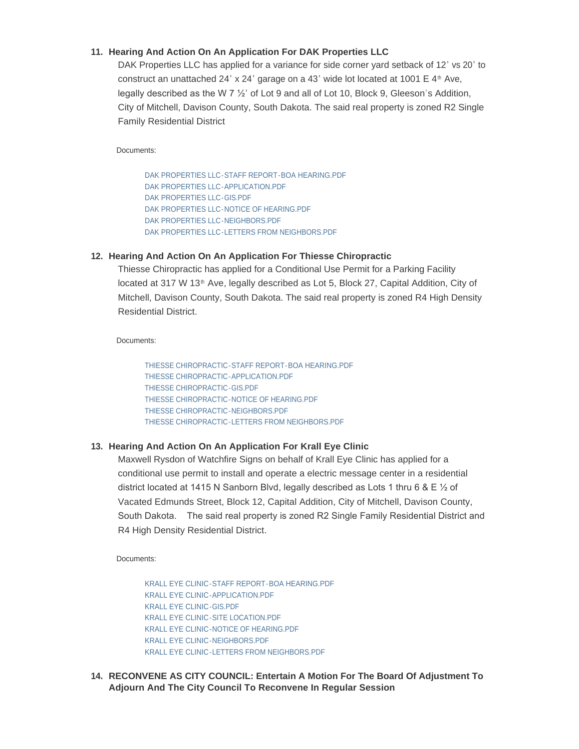# **Hearing And Action On An Application For DAK Properties LLC 11.**

DAK Properties LLC has applied for a variance for side corner yard setback of 12' vs 20' to construct an unattached 24' x 24' garage on a 43' wide lot located at 1001  $E$  4<sup>th</sup> Ave, legally described as the W 7 ½' of Lot 9 and all of Lot 10, Block 9, Gleeson's Addition, City of Mitchell, Davison County, South Dakota. The said real property is zoned R2 Single Family Residential District

Documents:

[DAK PROPERTIES LLC-STAFF REPORT-BOA HEARING.PDF](https://www.cityofmitchell.org/AgendaCenter/ViewFile/Item/13972?fileID=19935) [DAK PROPERTIES LLC-APPLICATION.PDF](https://www.cityofmitchell.org/AgendaCenter/ViewFile/Item/13972?fileID=19936) [DAK PROPERTIES LLC-GIS.PDF](https://www.cityofmitchell.org/AgendaCenter/ViewFile/Item/13972?fileID=19937) [DAK PROPERTIES LLC-NOTICE OF HEARING.PDF](https://www.cityofmitchell.org/AgendaCenter/ViewFile/Item/13972?fileID=19938) [DAK PROPERTIES LLC-NEIGHBORS.PDF](https://www.cityofmitchell.org/AgendaCenter/ViewFile/Item/13972?fileID=19939) [DAK PROPERTIES LLC-LETTERS FROM NEIGHBORS.PDF](https://www.cityofmitchell.org/AgendaCenter/ViewFile/Item/13972?fileID=19940)

# **Hearing And Action On An Application For Thiesse Chiropractic 12.**

Thiesse Chiropractic has applied for a Conditional Use Permit for a Parking Facility located at 317 W 13<sup>th</sup> Ave, legally described as Lot 5, Block 27, Capital Addition, City of Mitchell, Davison County, South Dakota. The said real property is zoned R4 High Density Residential District.

Documents:

[THIESSE CHIROPRACTIC-STAFF REPORT-BOA HEARING.PDF](https://www.cityofmitchell.org/AgendaCenter/ViewFile/Item/13971?fileID=19929) [THIESSE CHIROPRACTIC-APPLICATION.PDF](https://www.cityofmitchell.org/AgendaCenter/ViewFile/Item/13971?fileID=19930) [THIESSE CHIROPRACTIC-GIS.PDF](https://www.cityofmitchell.org/AgendaCenter/ViewFile/Item/13971?fileID=19931) [THIESSE CHIROPRACTIC-NOTICE OF HEARING.PDF](https://www.cityofmitchell.org/AgendaCenter/ViewFile/Item/13971?fileID=19932) [THIESSE CHIROPRACTIC-NEIGHBORS.PDF](https://www.cityofmitchell.org/AgendaCenter/ViewFile/Item/13971?fileID=19933) [THIESSE CHIROPRACTIC-LETTERS FROM NEIGHBORS.PDF](https://www.cityofmitchell.org/AgendaCenter/ViewFile/Item/13971?fileID=19934)

# **Hearing And Action On An Application For Krall Eye Clinic 13.**

Maxwell Rysdon of Watchfire Signs on behalf of Krall Eye Clinic has applied for a conditional use permit to install and operate a electric message center in a residential district located at 1415 N Sanborn Blvd, legally described as Lots 1 thru 6 & E  $\frac{1}{2}$  of Vacated Edmunds Street, Block 12, Capital Addition, City of Mitchell, Davison County, South Dakota. The said real property is zoned R2 Single Family Residential District and R4 High Density Residential District.

Documents:

[KRALL EYE CLINIC-STAFF REPORT-BOA HEARING.PDF](https://www.cityofmitchell.org/AgendaCenter/ViewFile/Item/13973?fileID=19941) [KRALL EYE CLINIC-APPLICATION.PDF](https://www.cityofmitchell.org/AgendaCenter/ViewFile/Item/13973?fileID=19942) [KRALL EYE CLINIC-GIS.PDF](https://www.cityofmitchell.org/AgendaCenter/ViewFile/Item/13973?fileID=19943) [KRALL EYE CLINIC-SITE LOCATION.PDF](https://www.cityofmitchell.org/AgendaCenter/ViewFile/Item/13973?fileID=19944) [KRALL EYE CLINIC-NOTICE OF HEARING.PDF](https://www.cityofmitchell.org/AgendaCenter/ViewFile/Item/13973?fileID=19945) [KRALL EYE CLINIC-NEIGHBORS.PDF](https://www.cityofmitchell.org/AgendaCenter/ViewFile/Item/13973?fileID=19946) [KRALL EYE CLINIC-LETTERS FROM NEIGHBORS.PDF](https://www.cityofmitchell.org/AgendaCenter/ViewFile/Item/13973?fileID=19947)

**RECONVENE AS CITY COUNCIL: Entertain A Motion For The Board Of Adjustment To 14. Adjourn And The City Council To Reconvene In Regular Session**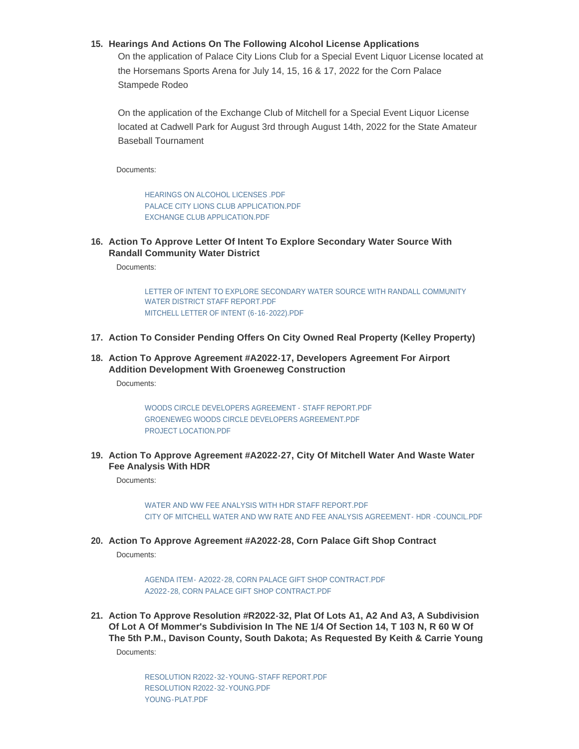## **Hearings And Actions On The Following Alcohol License Applications 15.**

On the application of Palace City Lions Club for a Special Event Liquor License located at the Horsemans Sports Arena for July 14, 15, 16 & 17, 2022 for the Corn Palace Stampede Rodeo

On the application of the Exchange Club of Mitchell for a Special Event Liquor License located at Cadwell Park for August 3rd through August 14th, 2022 for the State Amateur Baseball Tournament

Documents:

[HEARINGS ON ALCOHOL LICENSES .PDF](https://www.cityofmitchell.org/AgendaCenter/ViewFile/Item/13929?fileID=19871) [PALACE CITY LIONS CLUB APPLICATION.PDF](https://www.cityofmitchell.org/AgendaCenter/ViewFile/Item/13929?fileID=19872) [EXCHANGE CLUB APPLICATION.PDF](https://www.cityofmitchell.org/AgendaCenter/ViewFile/Item/13929?fileID=19870)

**Action To Approve Letter Of Intent To Explore Secondary Water Source With 16. Randall Community Water District**

Documents:

[LETTER OF INTENT TO EXPLORE SECONDARY WATER SOURCE WITH RANDALL COMMUNITY](https://www.cityofmitchell.org/AgendaCenter/ViewFile/Item/14006?fileID=20005)  WATER DISTRICT STAFF REPORT.PDF [MITCHELL LETTER OF INTENT \(6-16-2022\).PDF](https://www.cityofmitchell.org/AgendaCenter/ViewFile/Item/14006?fileID=20006)

- **Action To Consider Pending Offers On City Owned Real Property (Kelley Property) 17.**
- **Action To Approve Agreement #A2022-17, Developers Agreement For Airport 18. Addition Development With Groeneweg Construction**

Documents:

[WOODS CIRCLE DEVELOPERS AGREEMENT - STAFF REPORT.PDF](https://www.cityofmitchell.org/AgendaCenter/ViewFile/Item/13562?fileID=19971) [GROENEWEG WOODS CIRCLE DEVELOPERS AGREEMENT.PDF](https://www.cityofmitchell.org/AgendaCenter/ViewFile/Item/13562?fileID=19972) [PROJECT LOCATION.PDF](https://www.cityofmitchell.org/AgendaCenter/ViewFile/Item/13562?fileID=19973)

**Action To Approve Agreement #A2022-27, City Of Mitchell Water And Waste Water 19. Fee Analysis With HDR**

Documents:

[WATER AND WW FEE ANALYSIS WITH HDR STAFF REPORT.PDF](https://www.cityofmitchell.org/AgendaCenter/ViewFile/Item/13963?fileID=19920) [CITY OF MITCHELL WATER AND WW RATE AND FEE ANALYSIS AGREEMENT- HDR -COUNCIL.PDF](https://www.cityofmitchell.org/AgendaCenter/ViewFile/Item/13963?fileID=19921)

**Action To Approve Agreement #A2022-28, Corn Palace Gift Shop Contract 20.**

Documents:

AGENDA ITEM- [A2022-28, CORN PALACE GIFT SHOP CONTRACT.PDF](https://www.cityofmitchell.org/AgendaCenter/ViewFile/Item/13969?fileID=19915) [A2022-28, CORN PALACE GIFT SHOP CONTRACT.PDF](https://www.cityofmitchell.org/AgendaCenter/ViewFile/Item/13969?fileID=19916)

**Action To Approve Resolution #R2022-32, Plat Of Lots A1, A2 And A3, A Subdivision 21. Of Lot A Of Mommer's Subdivision In The NE 1/4 Of Section 14, T 103 N, R 60 W Of The 5th P.M., Davison County, South Dakota; As Requested By Keith & Carrie Young**

Documents:

[RESOLUTION R2022-32-YOUNG-STAFF REPORT.PDF](https://www.cityofmitchell.org/AgendaCenter/ViewFile/Item/13975?fileID=19954) [RESOLUTION R2022-32-YOUNG.PDF](https://www.cityofmitchell.org/AgendaCenter/ViewFile/Item/13975?fileID=19955) [YOUNG-PLAT.PDF](https://www.cityofmitchell.org/AgendaCenter/ViewFile/Item/13975?fileID=19956)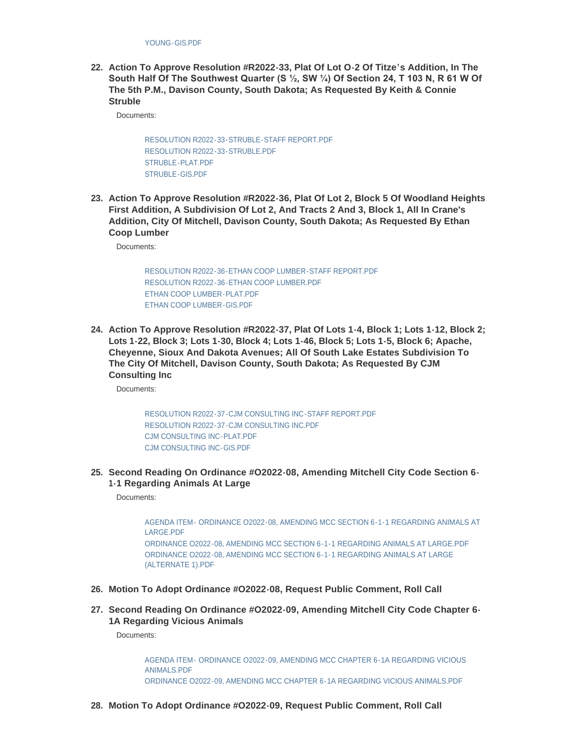**Action To Approve Resolution #R2022-33, Plat Of Lot O-2 Of Titze's Addition, In The 22. South Half Of The Southwest Quarter (S ½, SW ¼) Of Section 24, T 103 N, R 61 W Of The 5th P.M., Davison County, South Dakota; As Requested By Keith & Connie Struble**

Documents:

[RESOLUTION R2022-33-STRUBLE-STAFF REPORT.PDF](https://www.cityofmitchell.org/AgendaCenter/ViewFile/Item/13976?fileID=19958) [RESOLUTION R2022-33-STRUBLE.PDF](https://www.cityofmitchell.org/AgendaCenter/ViewFile/Item/13976?fileID=19959) [STRUBLE-PLAT.PDF](https://www.cityofmitchell.org/AgendaCenter/ViewFile/Item/13976?fileID=19960) [STRUBLE-GIS.PDF](https://www.cityofmitchell.org/AgendaCenter/ViewFile/Item/13976?fileID=19961)

**Action To Approve Resolution #R2022-36, Plat Of Lot 2, Block 5 Of Woodland Heights 23. First Addition, A Subdivision Of Lot 2, And Tracts 2 And 3, Block 1, All In Crane's Addition, City Of Mitchell, Davison County, South Dakota; As Requested By Ethan Coop Lumber**

Documents:

[RESOLUTION R2022-36-ETHAN COOP LUMBER-STAFF REPORT.PDF](https://www.cityofmitchell.org/AgendaCenter/ViewFile/Item/13977?fileID=19962) [RESOLUTION R2022-36-ETHAN COOP LUMBER.PDF](https://www.cityofmitchell.org/AgendaCenter/ViewFile/Item/13977?fileID=19963) [ETHAN COOP LUMBER-PLAT.PDF](https://www.cityofmitchell.org/AgendaCenter/ViewFile/Item/13977?fileID=19964) [ETHAN COOP LUMBER-GIS.PDF](https://www.cityofmitchell.org/AgendaCenter/ViewFile/Item/13977?fileID=19965)

**Action To Approve Resolution #R2022-37, Plat Of Lots 1-4, Block 1; Lots 1-12, Block 2; 24. Lots 1-22, Block 3; Lots 1-30, Block 4; Lots 1-46, Block 5; Lots 1-5, Block 6; Apache, Cheyenne, Sioux And Dakota Avenues; All Of South Lake Estates Subdivision To The City Of Mitchell, Davison County, South Dakota; As Requested By CJM Consulting Inc**

Documents:

[RESOLUTION R2022-37-CJM CONSULTING INC-STAFF REPORT.PDF](https://www.cityofmitchell.org/AgendaCenter/ViewFile/Item/13978?fileID=19966) [RESOLUTION R2022-37-CJM CONSULTING INC.PDF](https://www.cityofmitchell.org/AgendaCenter/ViewFile/Item/13978?fileID=19967) [CJM CONSULTING INC-PLAT.PDF](https://www.cityofmitchell.org/AgendaCenter/ViewFile/Item/13978?fileID=19968) [CJM CONSULTING INC-GIS.PDF](https://www.cityofmitchell.org/AgendaCenter/ViewFile/Item/13978?fileID=19969)

**Second Reading On Ordinance #O2022-08, Amending Mitchell City Code Section 6- 25. 1-1 Regarding Animals At Large**

Documents:

[AGENDA ITEM- ORDINANCE O2022-08, AMENDING MCC SECTION 6-1-1 REGARDING ANIMALS AT](https://www.cityofmitchell.org/AgendaCenter/ViewFile/Item/13967?fileID=19909)  LARGE.PDF [ORDINANCE O2022-08, AMENDING MCC SECTION 6-1-1 REGARDING ANIMALS AT LARGE.PDF](https://www.cityofmitchell.org/AgendaCenter/ViewFile/Item/13967?fileID=19908) [ORDINANCE O2022-08, AMENDING MCC SECTION 6-1-1 REGARDING ANIMALS AT LARGE](https://www.cityofmitchell.org/AgendaCenter/ViewFile/Item/13967?fileID=19988)  (ALTERNATE 1).PDF

- **Motion To Adopt Ordinance #O2022-08, Request Public Comment, Roll Call 26.**
- **Second Reading On Ordinance #O2022-09, Amending Mitchell City Code Chapter 6- 27. 1A Regarding Vicious Animals**

Documents:

[AGENDA ITEM- ORDINANCE O2022-09, AMENDING MCC CHAPTER 6-1A REGARDING VICIOUS](https://www.cityofmitchell.org/AgendaCenter/ViewFile/Item/13968?fileID=19910)  ANIMALS.PDF [ORDINANCE O2022-09, AMENDING MCC CHAPTER 6-1A REGARDING VICIOUS ANIMALS.PDF](https://www.cityofmitchell.org/AgendaCenter/ViewFile/Item/13968?fileID=19911)

**Motion To Adopt Ordinance #O2022-09, Request Public Comment, Roll Call 28.**